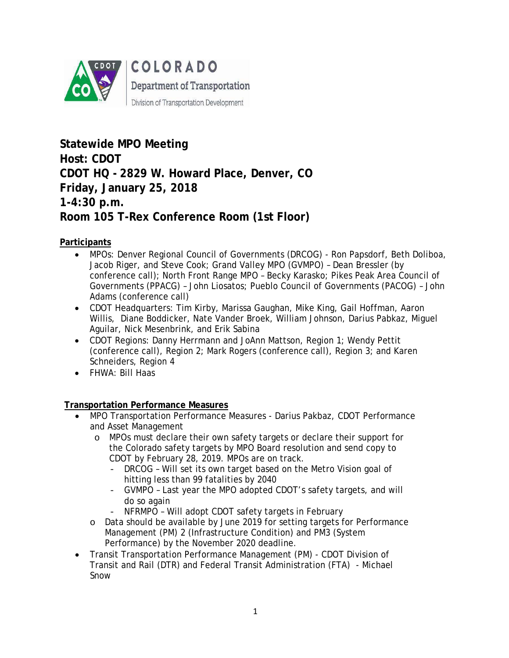

**Statewide MPO Meeting Host: CDOT CDOT HQ - 2829 W. Howard Place, Denver, CO Friday, January 25, 2018 1-4:30 p.m. Room 105 T-Rex Conference Room (1st Floor)**

# **Participants**

- MPOs: Denver Regional Council of Governments (DRCOG) Ron Papsdorf, Beth Doliboa, Jacob Riger, and Steve Cook; Grand Valley MPO (GVMPO) – Dean Bressler (by conference call); North Front Range MPO – Becky Karasko; Pikes Peak Area Council of Governments (PPACG) – John Liosatos; Pueblo Council of Governments (PACOG) – John Adams (conference call)
- CDOT Headquarters: Tim Kirby, Marissa Gaughan, Mike King, Gail Hoffman, Aaron Willis, Diane Boddicker, Nate Vander Broek, William Johnson, Darius Pabkaz, Miguel Aguilar, Nick Mesenbrink, and Erik Sabina
- CDOT Regions: Danny Herrmann and JoAnn Mattson, Region 1; Wendy Pettit (conference call), Region 2; Mark Rogers (conference call), Region 3; and Karen Schneiders, Region 4
- FHWA: Bill Haas

# **Transportation Performance Measures**

- MPO Transportation Performance Measures Darius Pakbaz, CDOT Performance and Asset Management
	- o MPOs must declare their own safety targets or declare their support for the Colorado safety targets by MPO Board resolution and send copy to CDOT by February 28, 2019. MPOs are on track.
		- DRCOG Will set its own target based on the Metro Vision goal of hitting less than 99 fatalities by 2040
		- GVMPO Last year the MPO adopted CDOT's safety targets, and will do so again
		- NFRMPO Will adopt CDOT safety targets in February
	- o Data should be available by June 2019 for setting targets for Performance Management (PM) 2 (Infrastructure Condition) and PM3 (System Performance) by the November 2020 deadline.
- Transit Transportation Performance Management (PM) CDOT Division of Transit and Rail (DTR) and Federal Transit Administration (FTA) - Michael Snow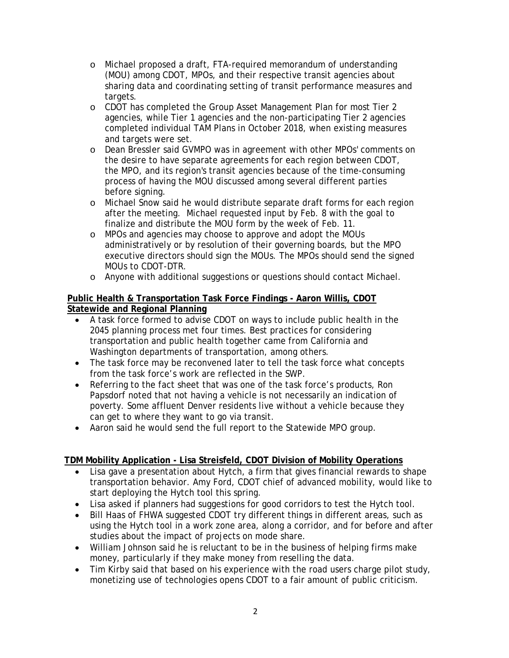- o Michael proposed a draft, FTA-required memorandum of understanding (MOU) among CDOT, MPOs, and their respective transit agencies about sharing data and coordinating setting of transit performance measures and targets.
- o CDOT has completed the Group Asset Management Plan for most Tier 2 agencies, while Tier 1 agencies and the non-participating Tier 2 agencies completed individual TAM Plans in October 2018, when existing measures and targets were set.
- o Dean Bressler said GVMPO was in agreement with other MPOs' comments on the desire to have separate agreements for each region between CDOT, the MPO, and its region's transit agencies because of the time-consuming process of having the MOU discussed among several different parties before signing.
- o Michael Snow said he would distribute separate draft forms for each region after the meeting. Michael requested input by Feb. 8 with the goal to finalize and distribute the MOU form by the week of Feb. 11.
- o MPOs and agencies may choose to approve and adopt the MOUs administratively or by resolution of their governing boards, but the MPO executive directors should sign the MOUs. The MPOs should send the signed MOUs to CDOT-DTR.
- o Anyone with additional suggestions or questions should contact Michael.

### **Public Health & Transportation Task Force Findings - Aaron Willis, CDOT Statewide and Regional Planning**

- A task force formed to advise CDOT on ways to include public health in the 2045 planning process met four times. Best practices for considering transportation and public health together came from California and Washington departments of transportation, among others.
- The task force may be reconvened later to tell the task force what concepts from the task force's work are reflected in the SWP.
- Referring to the fact sheet that was one of the task force's products, Ron Papsdorf noted that not having a vehicle is not necessarily an indication of poverty. Some affluent Denver residents live without a vehicle because they can get to where they want to go via transit.
- Aaron said he would send the full report to the Statewide MPO group.

# **TDM Mobility Application - Lisa Streisfeld, CDOT Division of Mobility Operations**

- Lisa gave a presentation about Hytch, a firm that gives financial rewards to shape transportation behavior. Amy Ford, CDOT chief of advanced mobility, would like to start deploying the Hytch tool this spring.
- Lisa asked if planners had suggestions for good corridors to test the Hytch tool.
- Bill Haas of FHWA suggested CDOT try different things in different areas, such as using the Hytch tool in a work zone area, along a corridor, and for before and after studies about the impact of projects on mode share.
- William Johnson said he is reluctant to be in the business of helping firms make money, particularly if they make money from reselling the data.
- Tim Kirby said that based on his experience with the road users charge pilot study, monetizing use of technologies opens CDOT to a fair amount of public criticism.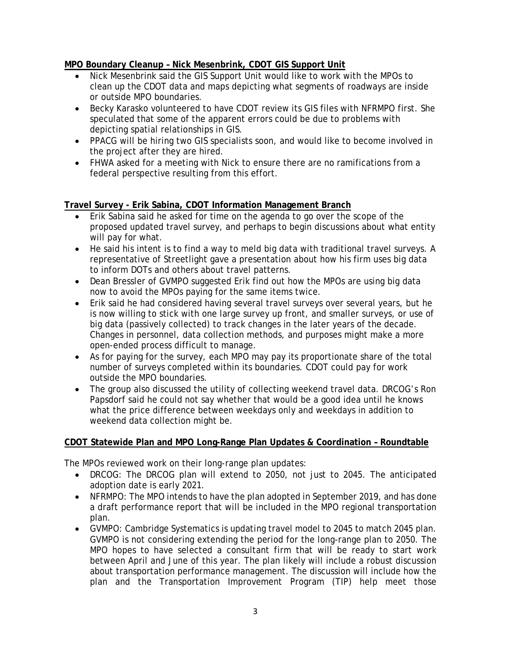# **MPO Boundary Cleanup – Nick Mesenbrink, CDOT GIS Support Unit**

- Nick Mesenbrink said the GIS Support Unit would like to work with the MPOs to clean up the CDOT data and maps depicting what segments of roadways are inside or outside MPO boundaries.
- Becky Karasko volunteered to have CDOT review its GIS files with NFRMPO first. She speculated that some of the apparent errors could be due to problems with depicting spatial relationships in GIS.
- PPACG will be hiring two GIS specialists soon, and would like to become involved in the project after they are hired.
- FHWA asked for a meeting with Nick to ensure there are no ramifications from a federal perspective resulting from this effort.

### **Travel Survey - Erik Sabina, CDOT Information Management Branch**

- Erik Sabina said he asked for time on the agenda to go over the scope of the proposed updated travel survey, and perhaps to begin discussions about what entity will pay for what.
- He said his intent is to find a way to meld big data with traditional travel surveys. A representative of Streetlight gave a presentation about how his firm uses big data to inform DOTs and others about travel patterns.
- Dean Bressler of GVMPO suggested Erik find out how the MPOs are using big data now to avoid the MPOs paying for the same items twice.
- Erik said he had considered having several travel surveys over several years, but he is now willing to stick with one large survey up front, and smaller surveys, or use of big data (passively collected) to track changes in the later years of the decade. Changes in personnel, data collection methods, and purposes might make a more open-ended process difficult to manage.
- As for paying for the survey, each MPO may pay its proportionate share of the total number of surveys completed within its boundaries. CDOT could pay for work outside the MPO boundaries.
- The group also discussed the utility of collecting weekend travel data. DRCOG's Ron Papsdorf said he could not say whether that would be a good idea until he knows what the price difference between weekdays only and weekdays in addition to weekend data collection might be.

#### **CDOT Statewide Plan and MPO Long-Range Plan Updates & Coordination – Roundtable**

The MPOs reviewed work on their long-range plan updates:

- DRCOG: The DRCOG plan will extend to 2050, not just to 2045. The anticipated adoption date is early 2021.
- NFRMPO: The MPO intends to have the plan adopted in September 2019, and has done a draft performance report that will be included in the MPO regional transportation plan.
- GVMPO: Cambridge Systematics is updating travel model to 2045 to match 2045 plan. GVMPO is not considering extending the period for the long-range plan to 2050. The MPO hopes to have selected a consultant firm that will be ready to start work between April and June of this year. The plan likely will include a robust discussion about transportation performance management. The discussion will include how the plan and the Transportation Improvement Program (TIP) help meet those